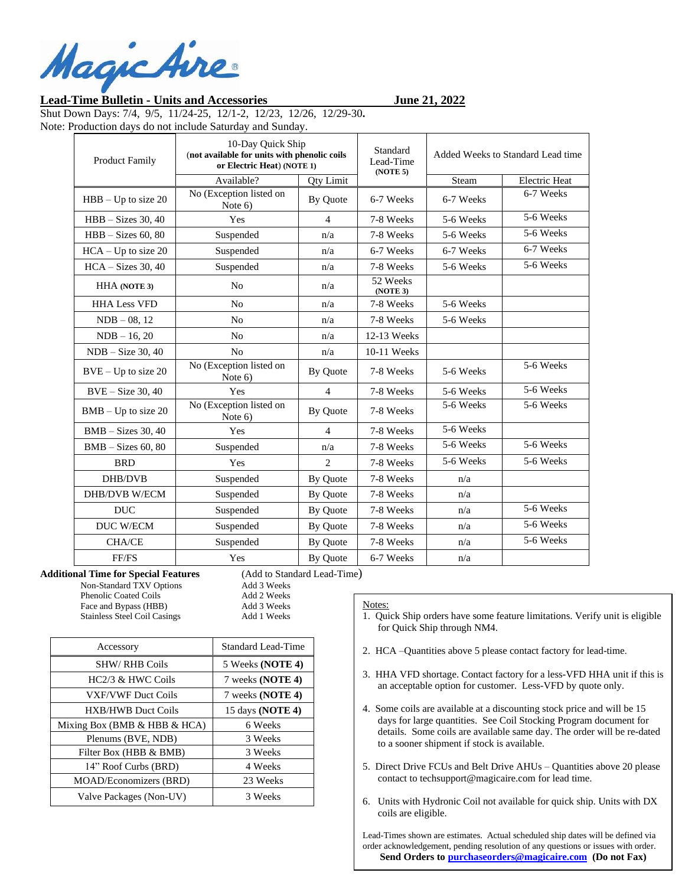MagicAire

## **Lead-Time Bulletin - Units and Accessories June 21, 2022**

Shut Down Days: 7/4, 9/5, 11/24-25, 12/1-2, 12/23, 12/26, 12/29-30**.**  Note: Production days do not include Saturday and Sunday.

| <b>Product Family</b> | 10-Day Quick Ship<br>(not available for units with phenolic coils<br>or Electric Heat) (NOTE 1) |                  | Standard<br>Lead-Time<br>(NOTE 5) | Added Weeks to Standard Lead time |                      |
|-----------------------|-------------------------------------------------------------------------------------------------|------------------|-----------------------------------|-----------------------------------|----------------------|
|                       | Available?                                                                                      | <b>Qty Limit</b> |                                   | Steam                             | <b>Electric Heat</b> |
| $HBB - Up$ to size 20 | No (Exception listed on<br>Note $6$ )                                                           | By Quote         | 6-7 Weeks                         | 6-7 Weeks                         | 6-7 Weeks            |
| $HBB - Sizes 30, 40$  | Yes                                                                                             | $\overline{4}$   | 7-8 Weeks                         | 5-6 Weeks                         | 5-6 Weeks            |
| $HBB - Sizes 60, 80$  | Suspended                                                                                       | n/a              | 7-8 Weeks                         | 5-6 Weeks                         | 5-6 Weeks            |
| $HCA - Up$ to size 20 | Suspended                                                                                       | n/a              | 6-7 Weeks                         | 6-7 Weeks                         | 6-7 Weeks            |
| $HCA - Sizes 30, 40$  | Suspended                                                                                       | n/a              | 7-8 Weeks                         | 5-6 Weeks                         | 5-6 Weeks            |
| <b>HHA</b> (NOTE 3)   | N <sub>o</sub>                                                                                  | n/a              | 52 Weeks<br>(NOTE 3)              |                                   |                      |
| <b>HHA Less VFD</b>   | N <sub>0</sub>                                                                                  | n/a              | 7-8 Weeks                         | 5-6 Weeks                         |                      |
| $NDB - 08$ , 12       | N <sub>o</sub>                                                                                  | n/a              | 7-8 Weeks                         | 5-6 Weeks                         |                      |
| $NDB - 16, 20$        | No                                                                                              | n/a              | 12-13 Weeks                       |                                   |                      |
| $NDB - Size 30, 40$   | N <sub>0</sub>                                                                                  | n/a              | 10-11 Weeks                       |                                   |                      |
| $BVE - Up$ to size 20 | No (Exception listed on<br>Note $6$                                                             | By Quote         | 7-8 Weeks                         | 5-6 Weeks                         | 5-6 Weeks            |
| $BVE - Size 30, 40$   | Yes                                                                                             | $\overline{4}$   | 7-8 Weeks                         | 5-6 Weeks                         | 5-6 Weeks            |
| $BMB - Up$ to size 20 | No (Exception listed on<br>Note 6)                                                              | By Quote         | 7-8 Weeks                         | 5-6 Weeks                         | 5-6 Weeks            |
| $BMB - Sizes 30, 40$  | Yes                                                                                             | $\overline{4}$   | 7-8 Weeks                         | 5-6 Weeks                         |                      |
| $BMB - Sizes 60, 80$  | Suspended                                                                                       | n/a              | 7-8 Weeks                         | 5-6 Weeks                         | 5-6 Weeks            |
| <b>BRD</b>            | Yes                                                                                             | 2                | 7-8 Weeks                         | 5-6 Weeks                         | 5-6 Weeks            |
| DHB/DVB               | Suspended                                                                                       | By Quote         | 7-8 Weeks                         | n/a                               |                      |
| <b>DHB/DVB W/ECM</b>  | Suspended                                                                                       | By Ouote         | 7-8 Weeks                         | n/a                               |                      |
| <b>DUC</b>            | Suspended                                                                                       | By Quote         | 7-8 Weeks                         | n/a                               | 5-6 Weeks            |
| <b>DUC W/ECM</b>      | Suspended                                                                                       | By Quote         | 7-8 Weeks                         | n/a                               | 5-6 Weeks            |
| <b>CHA/CE</b>         | Suspended                                                                                       | By Quote         | 7-8 Weeks                         | n/a                               | 5-6 Weeks            |
| FF/FS                 | Yes                                                                                             | By Quote         | 6-7 Weeks                         | n/a                               |                      |

**Additional Time for Special Features** (Add to Standard Lead-Time)

Non-Standard TXV Options Add 3 Weeks Phenolic Coated Coils Add 2 Weeks Face and Bypass (HBB) Add 3 Weeks Stainless Steel Coil Casings Add 1 Weeks

| Accessory                        | <b>Standard Lead-Time</b> |  |
|----------------------------------|---------------------------|--|
| <b>SHW/ RHB Coils</b>            | 5 Weeks (NOTE 4)          |  |
| HC2/3 & HWC Coils                | 7 weeks (NOTE 4)          |  |
| <b>VXF/VWF Duct Coils</b>        | 7 weeks (NOTE 4)          |  |
| <b>HXB/HWB Duct Coils</b>        | 15 days (NOTE 4)          |  |
| Mixing Box (BMB $&$ HBB $&$ HCA) | 6 Weeks                   |  |
| Plenums (BVE, NDB)               | 3 Weeks                   |  |
| Filter Box (HBB & BMB)           | 3 Weeks                   |  |
| 14" Roof Curbs (BRD)             | 4 Weeks                   |  |
| <b>MOAD/Economizers (BRD)</b>    | 23 Weeks                  |  |
| Valve Packages (Non-UV)          | 3 Weeks                   |  |

## Notes:

1. Quick Ship orders have some feature limitations. Verify unit is eligible for Quick Ship through NM4.

- 2. HCA –Quantities above 5 please contact factory for lead-time.
- 3. HHA VFD shortage. Contact factory for a less-VFD HHA unit if this is an acceptable option for customer. Less-VFD by quote only.
- 4. Some coils are available at a discounting stock price and will be 15 days for large quantities. See Coil Stocking Program document for details. Some coils are available same day. The order will be re-dated to a sooner shipment if stock is available.
- 5. Direct Drive FCUs and Belt Drive AHUs Quantities above 20 please contact to techsupport@magicaire.com for lead time.
- 6. Units with Hydronic Coil not available for quick ship. Units with DX coils are eligible.

Lead-Times shown are estimates. Actual scheduled ship dates will be defined via order acknowledgement, pending resolution of any questions or issues with order. **Send Orders t[o purchaseorders@magicaire.com](mailto:purchaseorders@magicaire.com) (Do not Fax)**